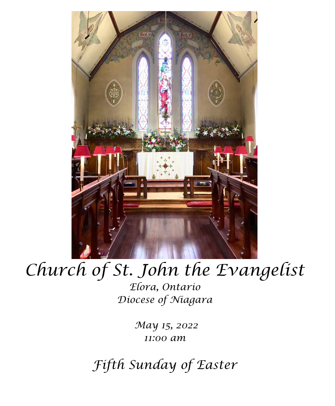

# *Church of St. John the Evangelist*

*Elora, Ontario Diocese of Niagara*

> *May 15, 2022 11:00 am*

*Fifth Sunday of Easter*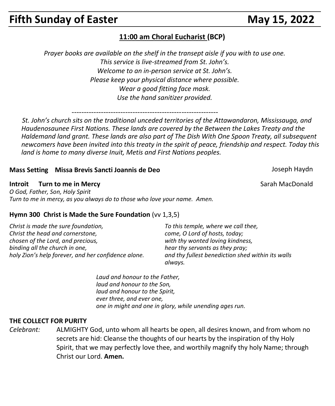# **Fifth Sunday of Easter May 15, 2022**

## **11:00 am Choral Eucharist (BCP)**

*Prayer books are available on the shelf in the transept aisle if you with to use one. This service is live-streamed from St. John's. Welcome to an in-person service at St. John's. Please keep your physical distance where possible. Wear a good fitting face mask. Use the hand sanitizer provided.*

------------------------------------------------------------

 *St. John's church sits on the traditional unceded territories of the Attawandaron, Mississauga, and Haudenosaunee First Nations. These lands are covered by the Between the Lakes Treaty and the Haldemand land grant. These lands are also part of The Dish With One Spoon Treaty, all subsequent newcomers have been invited into this treaty in the spirit of peace, friendship and respect. Today this land is home to many diverse Inuit, Metis and First Nations peoples.* 

#### **Mass Setting Missa Brevis Sancti Joannis de Deo** Joseph Haydn

**Introit Turn to me in Mercy** Sarah MacDonald **Sarah MacDonald** 

*O God, Father, Son, Holy Spirit Turn to me in mercy, as you always do to those who love your name. Amen.*

#### **Hymn 300 Christ is Made the Sure Foundation** (vv 1,3,5)

*Christ is made the sure foundation, Christ the head and cornerstone, chosen of the Lord, and precious, binding all the church in one, holy Zion's help forever, and her confidence alone.* *To this temple, where we call thee, come, O Lord of hosts, today; with thy wonted loving kindness, hear thy servants as they pray; and thy fullest benediction shed within its walls always.*

*Laud and honour to the Father, laud and honour to the Son, laud and honour to the Spirit, ever three, and ever one, one in might and one in glory, while unending ages run.*

#### **THE COLLECT FOR PURITY**

*Celebrant:* ALMIGHTY God, unto whom all hearts be open, all desires known, and from whom no secrets are hid: Cleanse the thoughts of our hearts by the inspiration of thy Holy Spirit, that we may perfectly love thee, and worthily magnify thy holy Name; through Christ our Lord. **Amen.**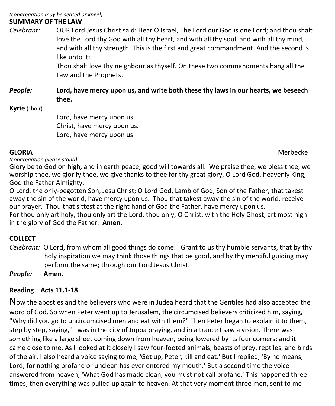*(congregation may be seated or kneel)* **SUMMARY OF THE LAW**

*Celebrant:* OUR Lord Jesus Christ said: Hear O Israel, The Lord our God is one Lord; and thou shalt love the Lord thy God with all thy heart, and with all thy soul, and with all thy mind, and with all thy strength. This is the first and great commandment. And the second is like unto it:

Thou shalt love thy neighbour as thyself. On these two commandments hang all the Law and the Prophets.

*People:* **Lord, have mercy upon us, and write both these thy laws in our hearts, we beseech thee.**

**Kyrie** (choir)

Lord, have mercy upon us. Christ, have mercy upon us. Lord, have mercy upon us.

**GLORIA** Merbecke

*(congregation please stand)*

Glory be to God on high, and in earth peace, good will towards all. We praise thee, we bless thee, we worship thee, we glorify thee, we give thanks to thee for thy great glory, O Lord God, heavenly King, God the Father Almighty.

O Lord, the only-begotten Son, Jesu Christ; O Lord God, Lamb of God, Son of the Father, that takest away the sin of the world, have mercy upon us. Thou that takest away the sin of the world, receive our prayer. Thou that sittest at the right hand of God the Father, have mercy upon us.

For thou only art holy; thou only art the Lord; thou only, O Christ, with the Holy Ghost, art most high in the glory of God the Father. **Amen.**

### **COLLECT**

*Celebrant:* O Lord, from whom all good things do come: Grant to us thy humble servants, that by thy holy inspiration we may think those things that be good, and by thy merciful guiding may perform the same; through our Lord Jesus Christ.

*People:* **Amen.**

#### **Reading Acts 11.1-18**

Now the apostles and the believers who were in Judea heard that the Gentiles had also accepted the word of God. So when Peter went up to Jerusalem, the circumcised believers criticized him, saying, "Why did you go to uncircumcised men and eat with them?" Then Peter began to explain it to them, step by step, saying, "I was in the city of Joppa praying, and in a trance I saw a vision. There was something like a large sheet coming down from heaven, being lowered by its four corners; and it came close to me. As I looked at it closely I saw four-footed animals, beasts of prey, reptiles, and birds of the air. I also heard a voice saying to me, 'Get up, Peter; kill and eat.' But I replied, 'By no means, Lord; for nothing profane or unclean has ever entered my mouth.' But a second time the voice answered from heaven, 'What God has made clean, you must not call profane.' This happened three times; then everything was pulled up again to heaven. At that very moment three men, sent to me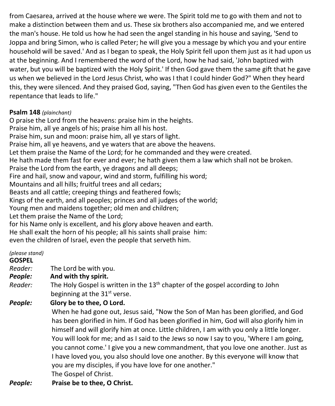from Caesarea, arrived at the house where we were. The Spirit told me to go with them and not to make a distinction between them and us. These six brothers also accompanied me, and we entered the man's house. He told us how he had seen the angel standing in his house and saying, 'Send to Joppa and bring Simon, who is called Peter; he will give you a message by which you and your entire household will be saved.' And as I began to speak, the Holy Spirit fell upon them just as it had upon us at the beginning. And I remembered the word of the Lord, how he had said, 'John baptized with water, but you will be baptized with the Holy Spirit.' If then God gave them the same gift that he gave us when we believed in the Lord Jesus Christ, who was I that I could hinder God?" When they heard this, they were silenced. And they praised God, saying, "Then God has given even to the Gentiles the repentance that leads to life."

#### **Psalm 148** *(plainchant)*

O praise the Lord from the heavens: praise him in the heights. Praise him, all ye angels of his; praise him all his host. Praise him, sun and moon: praise him, all ye stars of light. Praise him, all ye heavens, and ye waters that are above the heavens. Let them praise the Name of the Lord; for he commanded and they were created. He hath made them fast for ever and ever; he hath given them a law which shall not be broken. Praise the Lord from the earth, ye dragons and all deeps; Fire and hail, snow and vapour, wind and storm, fulfilling his word; Mountains and all hills; fruitful trees and all cedars; Beasts and all cattle; creeping things and feathered fowls; Kings of the earth, and all peoples; princes and all judges of the world; Young men and maidens together; old men and children; Let them praise the Name of the Lord; for his Name only is excellent, and his glory above heaven and earth. He shall exalt the horn of his people; all his saints shall praise him: even the children of Israel, even the people that serveth him.

#### *(please stand)*

#### **GOSPEL**

- *Reader:*The Lord be with you.
- *People:* **And with thy spirit.**
- *Reader:* The Holy Gospel is written in the 13<sup>th</sup> chapter of the gospel according to John beginning at the 31<sup>st</sup> verse.

*People:* **Glory be to thee, O Lord.**

When he had gone out, Jesus said, "Now the Son of Man has been glorified, and God has been glorified in him. If God has been glorified in him, God will also glorify him in himself and will glorify him at once. Little children, I am with you only a little longer. You will look for me; and as I said to the Jews so now I say to you, 'Where I am going, you cannot come.' I give you a new commandment, that you love one another. Just as I have loved you, you also should love one another. By this everyone will know that you are my disciples, if you have love for one another." The Gospel of Christ.

*People:* **Praise be to thee, O Christ.**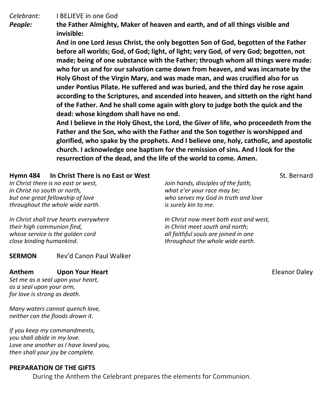*Celebrant:* I BELIEVE in one God

*People:* **the Father Almighty, Maker of heaven and earth, and of all things visible and invisible:**

> **And in one Lord Jesus Christ, the only begotten Son of God, begotten of the Father before all worlds; God, of God; light, of light; very God, of very God; begotten, not made; being of one substance with the Father; through whom all things were made: who for us and for our salvation came down from heaven, and was incarnate by the Holy Ghost of the Virgin Mary, and was made man, and was crucified also for us under Pontius Pilate. He suffered and was buried, and the third day he rose again according to the Scriptures, and ascended into heaven, and sitteth on the right hand of the Father. And he shall come again with glory to judge both the quick and the dead: whose kingdom shall have no end.**

> **And I believe in the Holy Ghost, the Lord, the Giver of life, who proceedeth from the Father and the Son, who with the Father and the Son together is worshipped and glorified, who spake by the prophets. And I believe one, holy, catholic, and apostolic church. I acknowledge one baptism for the remission of sins. And I look for the resurrection of the dead, and the life of the world to come. Amen.**

#### **Hymn 484 In Christ There is no East or West** St. Bernard St. Bernard

*In Christ there is no east or west, in Christ no south or north, but one great fellowship of love throughout the whole wide earth.*

*In Christ shall true hearts everywhere their high communion find, whose service is the golden cord close binding humankind.*

**SERMON** Rev'd Canon Paul Walker

#### **Anthem Upon Your Heart Community Community Community Community Community Community Community Community Community**

*Set me as a seal upon your heart, as a seal upon your arm, for love is strong as death.*

*Many waters cannot quench love, neither can the floods drown it.*

*If you keep my commandments, you shall abide in my love. Love one another as I have loved you, then shall your joy be complete.*

#### **PREPARATION OF THE GIFTS**

During the Anthem the Celebrant prepares the elements for Communion.

*Join hands, disciples of the faith, what e'er your race may be; who serves my God in truth and love is surely kin to me.*

*In Christ now meet both east and west, in Christ meet south and north; all faithful souls are joined in one throughout the whole wide earth.*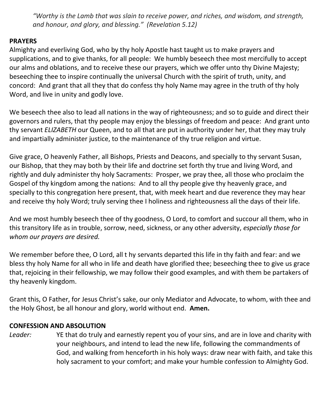*"Worthy is the Lamb that was slain to receive power, and riches, and wisdom, and strength, and honour, and glory, and blessing." (Revelation 5.12)*

#### **PRAYERS**

Almighty and everliving God, who by thy holy Apostle hast taught us to make prayers and supplications, and to give thanks, for all people: We humbly beseech thee most mercifully to accept our alms and oblations, and to receive these our prayers, which we offer unto thy Divine Majesty; beseeching thee to inspire continually the universal Church with the spirit of truth, unity, and concord: And grant that all they that do confess thy holy Name may agree in the truth of thy holy Word, and live in unity and godly love.

We beseech thee also to lead all nations in the way of righteousness; and so to guide and direct their governors and rulers, that thy people may enjoy the blessings of freedom and peace: And grant unto thy servant *ELIZABETH* our Queen, and to all that are put in authority under her, that they may truly and impartially administer justice, to the maintenance of thy true religion and virtue.

Give grace, O heavenly Father, all Bishops, Priests and Deacons, and specially to thy servant Susan, our Bishop, that they may both by their life and doctrine set forth thy true and living Word, and rightly and duly administer thy holy Sacraments: Prosper, we pray thee, all those who proclaim the Gospel of thy kingdom among the nations: And to all thy people give thy heavenly grace, and specially to this congregation here present, that, with meek heart and due reverence they may hear and receive thy holy Word; truly serving thee I holiness and righteousness all the days of their life.

And we most humbly beseech thee of thy goodness, O Lord, to comfort and succour all them, who in this transitory life as in trouble, sorrow, need, sickness, or any other adversity, *especially those for whom our prayers are desired.*

We remember before thee, O Lord, all t hy servants departed this life in thy faith and fear: and we bless thy holy Name for all who in life and death have glorified thee; beseeching thee to give us grace that, rejoicing in their fellowship, we may follow their good examples, and with them be partakers of thy heavenly kingdom.

Grant this, O Father, for Jesus Christ's sake, our only Mediator and Advocate, to whom, with thee and the Holy Ghost, be all honour and glory, world without end. **Amen.**

#### **CONFESSION AND ABSOLUTION**

*Leader:* YE that do truly and earnestly repent you of your sins, and are in love and charity with your neighbours, and intend to lead the new life, following the commandments of God, and walking from henceforth in his holy ways: draw near with faith, and take this holy sacrament to your comfort; and make your humble confession to Almighty God.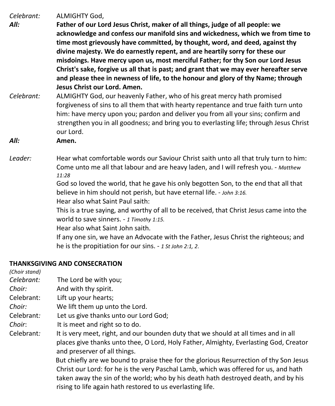*Celebrant:* ALMIGHTY God,

- *All:* **Father of our Lord Jesus Christ, maker of all things, judge of all people: we acknowledge and confess our manifold sins and wickedness, which we from time to time most grievously have committed, by thought, word, and deed, against thy divine majesty. We do earnestly repent, and are heartily sorry for these our misdoings. Have mercy upon us, most merciful Father; for thy Son our Lord Jesus Christ's sake, forgive us all that is past; and grant that we may ever hereafter serve and please thee in newness of life, to the honour and glory of thy Name; through Jesus Christ our Lord. Amen.**
- *Celebrant:* ALMIGHTY God, our heavenly Father, who of his great mercy hath promised forgiveness of sins to all them that with hearty repentance and true faith turn unto him: have mercy upon you; pardon and deliver you from all your sins; confirm and strengthen you in all goodness; and bring you to everlasting life; through Jesus Christ our Lord.
- *All:* **Amen.**
- *Leader:* Hear what comfortable words our Saviour Christ saith unto all that truly turn to him: Come unto me all that labour and are heavy laden, and I will refresh you. - *Matthew 11:28*

God so loved the world, that he gave his only begotten Son, to the end that all that believe in him should not perish, but have eternal life. - *John 3:16.*

Hear also what Saint Paul saith:

This is a true saying, and worthy of all to be received, that Christ Jesus came into the world to save sinners. - *1 Timothy 1:15.*

Hear also what Saint John saith.

If any one sin, we have an Advocate with the Father, Jesus Christ the righteous; and he is the propitiation for our sins. - *1 St John 2:1, 2*.

#### **THANKSGIVING AND CONSECRATION**

*(Choir stand) Celebrant:* The Lord be with you; *Choir:* And with thy spirit. Celebrant: Lift up your hearts; *Choir:* We lift them up unto the Lord. Celebrant*:* Let us give thanks unto our Lord God; *Choir*: It is meet and right so to do. Celebrant*:* It is very meet, right, and our bounden duty that we should at all times and in all places give thanks unto thee, O Lord, Holy Father, Almighty, Everlasting God, Creator and preserver of all things. But chiefly are we bound to praise thee for the glorious Resurrection of thy Son Jesus Christ our Lord: for he is the very Paschal Lamb, which was offered for us, and hath taken away the sin of the world; who by his death hath destroyed death, and by his rising to life again hath restored to us everlasting life.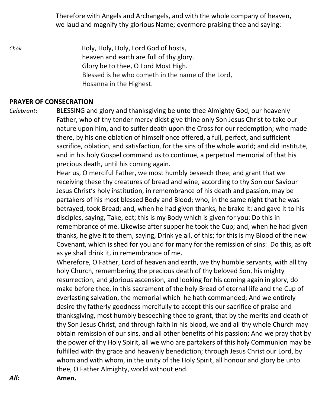Therefore with Angels and Archangels, and with the whole company of heaven, we laud and magnify thy glorious Name; evermore praising thee and saying:

*Choir* **Holy, Holy, Holy, Lord God of hosts,**  heaven and earth are full of thy glory. Glory be to thee, O Lord Most High. Blessed is he who cometh in the name of the Lord, Hosanna in the Highest.

#### **PRAYER OF CONSECRATION**

*Celebrant*: BLESSING and glory and thanksgiving be unto thee Almighty God, our heavenly Father, who of thy tender mercy didst give thine only Son Jesus Christ to take our nature upon him, and to suffer death upon the Cross for our redemption; who made there, by his one oblation of himself once offered, a full, perfect, and sufficient sacrifice, oblation, and satisfaction, for the sins of the whole world; and did institute, and in his holy Gospel command us to continue, a perpetual memorial of that his precious death, until his coming again.

> Hear us, O merciful Father, we most humbly beseech thee; and grant that we receiving these thy creatures of bread and wine, according to thy Son our Saviour Jesus Christ's holy institution, in remembrance of his death and passion, may be partakers of his most blessed Body and Blood; who, in the same night that he was betrayed, took Bread; and, when he had given thanks, he brake it; and gave it to his disciples, saying, Take, eat; this is my Body which is given for you: Do this in remembrance of me. Likewise after supper he took the Cup; and, when he had given thanks, he give it to them, saying, Drink ye all, of this; for this is my Blood of the new Covenant, which is shed for you and for many for the remission of sins: Do this, as oft as ye shall drink it, in remembrance of me.

> Wherefore, O Father, Lord of heaven and earth, we thy humble servants, with all thy holy Church, remembering the precious death of thy beloved Son, his mighty resurrection, and glorious ascension, and looking for his coming again in glory, do make before thee, in this sacrament of the holy Bread of eternal life and the Cup of everlasting salvation, the memorial which he hath commanded; And we entirely desire thy fatherly goodness mercifully to accept this our sacrifice of praise and thanksgiving, most humbly beseeching thee to grant, that by the merits and death of thy Son Jesus Christ, and through faith in his blood, we and all thy whole Church may obtain remission of our sins, and all other benefits of his passion; And we pray that by the power of thy Holy Spirit, all we who are partakers of this holy Communion may be fulfilled with thy grace and heavenly benediction; through Jesus Christ our Lord, by whom and with whom, in the unity of the Holy Spirit, all honour and glory be unto thee, O Father Almighty, world without end.

*All:* **Amen.**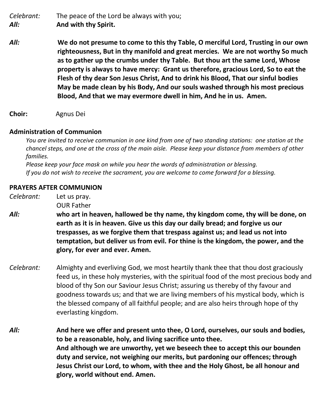*Celebrant:* The peace of the Lord be always with you; *All:* **And with thy Spirit.**

*All:* **We do not presume to come to this thy Table, O merciful Lord, Trusting in our own righteousness, But in thy manifold and great mercies. We are not worthy So much as to gather up the crumbs under thy Table. But thou art the same Lord, Whose property is always to have mercy: Grant us therefore, gracious Lord, So to eat the Flesh of thy dear Son Jesus Christ, And to drink his Blood, That our sinful bodies May be made clean by his Body, And our souls washed through his most precious Blood, And that we may evermore dwell in him, And he in us. Amen.**

**Choir:** Agnus Dei

#### **Administration of Communion**

You are invited to receive communion in one kind from one of two standing stations: one station at the chancel steps, and one at the cross of the main aisle. Please keep your distance from members of other  *families.*

 *Please keep your face mask on while you hear the words of administration or blessing. If you do not wish to receive the sacrament, you are welcome to come forward for a blessing.*

#### **PRAYERS AFTER COMMUNION**

*Celebrant:* Let us pray.

OUR Father

- *All:* **who art in heaven, hallowed be thy name, thy kingdom come, thy will be done, on earth as it is in heaven. Give us this day our daily bread; and forgive us our trespasses, as we forgive them that trespass against us; and lead us not into temptation, but deliver us from evil. For thine is the kingdom, the power, and the glory, for ever and ever. Amen.**
- *Celebrant:* Almighty and everliving God, we most heartily thank thee that thou dost graciously feed us, in these holy mysteries, with the spiritual food of the most precious body and blood of thy Son our Saviour Jesus Christ; assuring us thereby of thy favour and goodness towards us; and that we are living members of his mystical body, which is the blessed company of all faithful people; and are also heirs through hope of thy everlasting kingdom.
- *All:* **And here we offer and present unto thee, O Lord, ourselves, our souls and bodies, to be a reasonable, holy, and living sacrifice unto thee. And although we are unworthy, yet we beseech thee to accept this our bounden duty and service, not weighing our merits, but pardoning our offences; through Jesus Christ our Lord, to whom, with thee and the Holy Ghost, be all honour and glory, world without end. Amen.**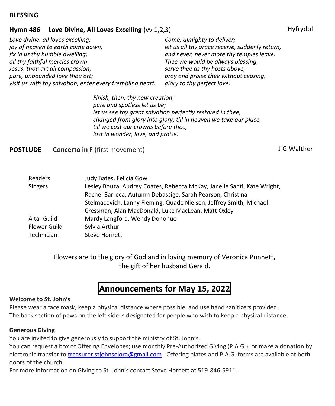#### **BLESSING**

#### **Hymn 486 Love Divine, All Loves Excelling** (vv 1,2,3) Hyfrydol Hyfrydol

*Love divine, all loves excelling, joy of heaven to earth come down, fix in us thy humble dwelling; all thy faithful mercies crown. Jesus, thou art all compassion; pure, unbounded love thou art; visit us with thy salvation, enter every trembling heart.*

*Come, almighty to deliver; let us all thy grace receive, suddenly return, and never, never more thy temples leave. Thee we would be always blessing, serve thee as thy hosts above, pray and praise thee without ceasing, glory to thy perfect love.*

*Finish, then, thy new creation; pure and spotless let us be; let us see thy great salvation perfectly restored in thee, changed from glory into glory; till in heaven we take our place, till we cast our crowns before thee, lost in wonder, love, and praise.*

#### **POSTLUDE** Concerto in F (first movement) **CONCERT CONCERT CONCERT CONCERT CONCERT** CONCERT CONCERT CONCERT CONCERT

| Readers        | Judy Bates, Felicia Gow                                                 |
|----------------|-------------------------------------------------------------------------|
| <b>Singers</b> | Lesley Bouza, Audrey Coates, Rebecca McKay, Janelle Santi, Kate Wright, |
|                | Rachel Barreca, Autumn Debassige, Sarah Pearson, Christina              |
|                | Stelmacovich, Lanny Fleming, Quade Nielsen, Jeffrey Smith, Michael      |
|                | Cressman, Alan MacDonald, Luke MacLean, Matt Oxley                      |
| Altar Guild    | Mardy Langford, Wendy Donohue                                           |
| Flower Guild   | Sylvia Arthur                                                           |
| Technician     | <b>Steve Hornett</b>                                                    |

Flowers are to the glory of God and in loving memory of Veronica Punnett, the gift of her husband Gerald.

# **Announcements for May 15, 2022**

#### **Welcome to St. John's**

Please wear a face mask, keep a physical distance where possible, and use hand sanitizers provided. The back section of pews on the left side is designated for people who wish to keep a physical distance.

#### **Generous Giving**

You are invited to give generously to support the ministry of St. John's.

You can request a box of Offering Envelopes; use monthly Pre-Authorized Giving (P.A.G.); or make a donation by electronic transfer to [treasurer.stjohnselora@gmail.com.](mailto:treasurer.stjohnselora@gmail.com) Offering plates and P.A.G. forms are available at both doors of the church.

For more information on Giving to St. John's contact Steve Hornett at 519-846-5911.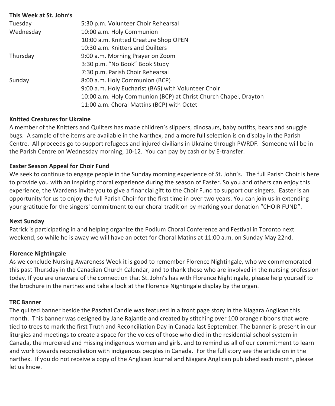| This Week at St. John's |                                                                  |
|-------------------------|------------------------------------------------------------------|
| Tuesday                 | 5:30 p.m. Volunteer Choir Rehearsal                              |
| Wednesday               | 10:00 a.m. Holy Communion                                        |
|                         | 10:00 a.m. Knitted Creature Shop OPEN                            |
|                         | 10:30 a.m. Knitters and Quilters                                 |
| Thursday                | 9:00 a.m. Morning Prayer on Zoom                                 |
|                         | 3:30 p.m. "No Book" Book Study                                   |
|                         | 7:30 p.m. Parish Choir Rehearsal                                 |
| Sunday                  | 8:00 a.m. Holy Communion (BCP)                                   |
|                         | 9:00 a.m. Holy Eucharist (BAS) with Volunteer Choir              |
|                         | 10:00 a.m. Holy Communion (BCP) at Christ Church Chapel, Drayton |
|                         | 11:00 a.m. Choral Mattins (BCP) with Octet                       |

#### **Knitted Creatures for Ukraine**

A member of the Knitters and Quilters has made children's slippers, dinosaurs, baby outfits, bears and snuggle bugs. A sample of the items are available in the Narthex, and a more full selection is on display in the Parish Centre. All proceeds go to support refugees and injured civilians in Ukraine through PWRDF. Someone will be in the Parish Centre on Wednesday morning, 10-12. You can pay by cash or by E-transfer.

#### **Easter Season Appeal for Choir Fund**

We seek to continue to engage people in the Sunday morning experience of St. John's. The full Parish Choir is here to provide you with an inspiring choral experience during the season of Easter. So you and others can enjoy this experience, the Wardens invite you to give a financial gift to the Choir Fund to support our singers. Easter is an opportunity for us to enjoy the full Parish Choir for the first time in over two years. You can join us in extending your gratitude for the singers' commitment to our choral tradition by marking your donation "CHOIR FUND".

#### **Next Sunday**

Patrick is participating in and helping organize the Podium Choral Conference and Festival in Toronto next weekend, so while he is away we will have an octet for Choral Matins at 11:00 a.m. on Sunday May 22nd.

#### **Florence Nightingale**

As we conclude Nursing Awareness Week it is good to remember Florence Nightingale, who we commemorated this past Thursday in the Canadian Church Calendar, and to thank those who are involved in the nursing profession today. If you are unaware of the connection that St. John's has with Florence Nightingale, please help yourself to the brochure in the narthex and take a look at the Florence Nightingale display by the organ.

#### **TRC Banner**

The quilted banner beside the Paschal Candle was featured in a front page story in the Niagara Anglican this month. This banner was designed by Jane Rajantie and created by stitching over 100 orange ribbons that were tied to trees to mark the first Truth and Reconciliation Day in Canada last September. The banner is present in our liturgies and meetings to create a space for the voices of those who died in the residential school system in Canada, the murdered and missing indigenous women and girls, and to remind us all of our commitment to learn and work towards reconciliation with indigenous peoples in Canada. For the full story see the article on in the narthex. If you do not receive a copy of the Anglican Journal and Niagara Anglican published each month, please let us know.